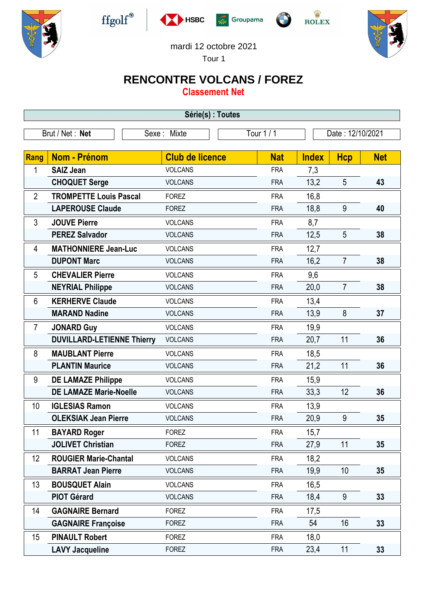











mardi 12 octobre 2021

Tour 1

## **RENCONTRE VOLCANS / FOREZ**

**Classement Net**

| Série(s) : Toutes |                                   |             |                        |  |                  |              |                |            |  |  |
|-------------------|-----------------------------------|-------------|------------------------|--|------------------|--------------|----------------|------------|--|--|
| Brut / Net: Net   |                                   | Sexe: Mixte | Tour 1/1               |  | Date: 12/10/2021 |              |                |            |  |  |
| Rang              | Nom - Prénom                      |             | <b>Club de licence</b> |  | <b>Nat</b>       | <b>Index</b> | <b>Hcp</b>     | <b>Net</b> |  |  |
| 1                 | <b>SAIZ Jean</b>                  |             | <b>VOLCANS</b>         |  | <b>FRA</b>       | 7,3          |                |            |  |  |
|                   | <b>CHOQUET Serge</b>              |             | <b>VOLCANS</b>         |  | <b>FRA</b>       | 13,2         | 5              | 43         |  |  |
| $\overline{2}$    | <b>TROMPETTE Louis Pascal</b>     |             | <b>FOREZ</b>           |  | <b>FRA</b>       | 16,8         |                |            |  |  |
|                   | <b>LAPEROUSE Claude</b>           |             | <b>FOREZ</b>           |  | <b>FRA</b>       | 18,8         | 9              | 40         |  |  |
| 3                 | <b>JOUVE Pierre</b>               |             | <b>VOLCANS</b>         |  | <b>FRA</b>       | 8,7          |                |            |  |  |
|                   | <b>PEREZ Salvador</b>             |             | <b>VOLCANS</b>         |  | <b>FRA</b>       | 12,5         | 5              | 38         |  |  |
| 4                 | <b>MATHONNIERE Jean-Luc</b>       |             | <b>VOLCANS</b>         |  | <b>FRA</b>       | 12,7         |                |            |  |  |
|                   | <b>DUPONT Marc</b>                |             | <b>VOLCANS</b>         |  | <b>FRA</b>       | 16,2         | $\overline{7}$ | 38         |  |  |
| 5                 | <b>CHEVALIER Pierre</b>           |             | <b>VOLCANS</b>         |  | <b>FRA</b>       | 9,6          |                |            |  |  |
|                   | <b>NEYRIAL Philippe</b>           |             | <b>VOLCANS</b>         |  | <b>FRA</b>       | 20,0         | $\overline{7}$ | 38         |  |  |
| 6                 | <b>KERHERVE Claude</b>            |             | <b>VOLCANS</b>         |  | <b>FRA</b>       | 13,4         |                |            |  |  |
|                   | <b>MARAND Nadine</b>              |             | <b>VOLCANS</b>         |  | <b>FRA</b>       | 13,9         | 8              | 37         |  |  |
| $\overline{7}$    | <b>JONARD Guy</b>                 |             | <b>VOLCANS</b>         |  | <b>FRA</b>       | 19,9         |                |            |  |  |
|                   | <b>DUVILLARD-LETIENNE Thierry</b> |             | <b>VOLCANS</b>         |  | <b>FRA</b>       | 20,7         | 11             | 36         |  |  |
| 8                 | <b>MAUBLANT Pierre</b>            |             | <b>VOLCANS</b>         |  | <b>FRA</b>       | 18,5         |                |            |  |  |
|                   | <b>PLANTIN Maurice</b>            |             | <b>VOLCANS</b>         |  | <b>FRA</b>       | 21,2         | 11             | 36         |  |  |
| 9                 | <b>DE LAMAZE Philippe</b>         |             | <b>VOLCANS</b>         |  | <b>FRA</b>       | 15,9         |                |            |  |  |
|                   | <b>DE LAMAZE Marie-Noelle</b>     |             | <b>VOLCANS</b>         |  | <b>FRA</b>       | 33,3         | 12             | 36         |  |  |
| 10                | <b>IGLESIAS Ramon</b>             |             | <b>VOLCANS</b>         |  | <b>FRA</b>       | 13,9         |                |            |  |  |
|                   | <b>OLEKSIAK Jean Pierre</b>       |             | <b>VOLCANS</b>         |  | <b>FRA</b>       | 20,9         | 9              | 35         |  |  |
| 11                | <b>BAYARD Roger</b>               |             | <b>FOREZ</b>           |  | <b>FRA</b>       | 15,7         |                |            |  |  |
|                   | <b>JOLIVET Christian</b>          |             | <b>FOREZ</b>           |  | <b>FRA</b>       | 27,9         | 11             | 35         |  |  |
| 12                | <b>ROUGIER Marie-Chantal</b>      |             | <b>VOLCANS</b>         |  | <b>FRA</b>       | 18,2         |                |            |  |  |
|                   | <b>BARRAT Jean Pierre</b>         |             | <b>VOLCANS</b>         |  | <b>FRA</b>       | 19,9         | 10             | 35         |  |  |
| 13                | <b>BOUSQUET Alain</b>             |             | <b>VOLCANS</b>         |  | <b>FRA</b>       | 16,5         |                |            |  |  |
|                   | <b>PIOT Gérard</b>                |             | <b>VOLCANS</b>         |  | <b>FRA</b>       | 18,4         | 9              | 33         |  |  |
| 14                | <b>GAGNAIRE Bernard</b>           |             | <b>FOREZ</b>           |  | <b>FRA</b>       | 17,5         |                |            |  |  |
|                   | <b>GAGNAIRE Françoise</b>         |             | <b>FOREZ</b>           |  | <b>FRA</b>       | 54           | 16             | 33         |  |  |
| 15                | <b>PINAULT Robert</b>             |             | <b>FOREZ</b>           |  | <b>FRA</b>       | 18,0         |                |            |  |  |
|                   | <b>LAVY Jacqueline</b>            |             | <b>FOREZ</b>           |  | <b>FRA</b>       | 23,4         | 11             | 33         |  |  |